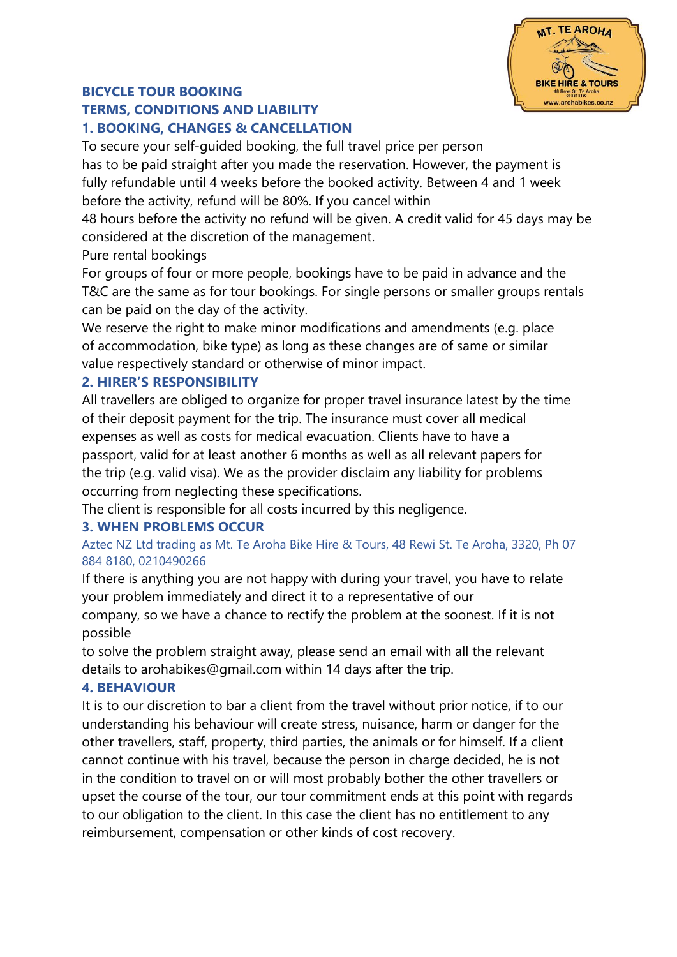

# **BICYCLE TOUR BOOKING**

# **TERMS, CONDITIONS AND LIABILITY 1. BOOKING, CHANGES & CANCELLATION**

To secure your self-guided booking, the full travel price per person has to be paid straight after you made the reservation. However, the payment is fully refundable until 4 weeks before the booked activity. Between 4 and 1 week before the activity, refund will be 80%. If you cancel within

48 hours before the activity no refund will be given. A credit valid for 45 days may be considered at the discretion of the management.

Pure rental bookings

For groups of four or more people, bookings have to be paid in advance and the T&C are the same as for tour bookings. For single persons or smaller groups rentals can be paid on the day of the activity.

We reserve the right to make minor modifications and amendments (e.g. place of accommodation, bike type) as long as these changes are of same or similar value respectively standard or otherwise of minor impact.

# **2. HIRER'S RESPONSIBILITY**

All travellers are obliged to organize for proper travel insurance latest by the time of their deposit payment for the trip. The insurance must cover all medical expenses as well as costs for medical evacuation. Clients have to have a passport, valid for at least another 6 months as well as all relevant papers for the trip (e.g. valid visa). We as the provider disclaim any liability for problems occurring from neglecting these specifications.

The client is responsible for all costs incurred by this negligence.

# **3. WHEN PROBLEMS OCCUR**

Aztec NZ Ltd trading as Mt. Te Aroha Bike Hire & Tours, 48 Rewi St. Te Aroha, 3320, Ph 07 884 8180, 0210490266

If there is anything you are not happy with during your travel, you have to relate your problem immediately and direct it to a representative of our

company, so we have a chance to rectify the problem at the soonest. If it is not possible

to solve the problem straight away, please send an email with all the relevant details to arohabikes@gmail.com within 14 days after the trip.

# **4. BEHAVIOUR**

It is to our discretion to bar a client from the travel without prior notice, if to our understanding his behaviour will create stress, nuisance, harm or danger for the other travellers, staff, property, third parties, the animals or for himself. If a client cannot continue with his travel, because the person in charge decided, he is not in the condition to travel on or will most probably bother the other travellers or upset the course of the tour, our tour commitment ends at this point with regards to our obligation to the client. In this case the client has no entitlement to any reimbursement, compensation or other kinds of cost recovery.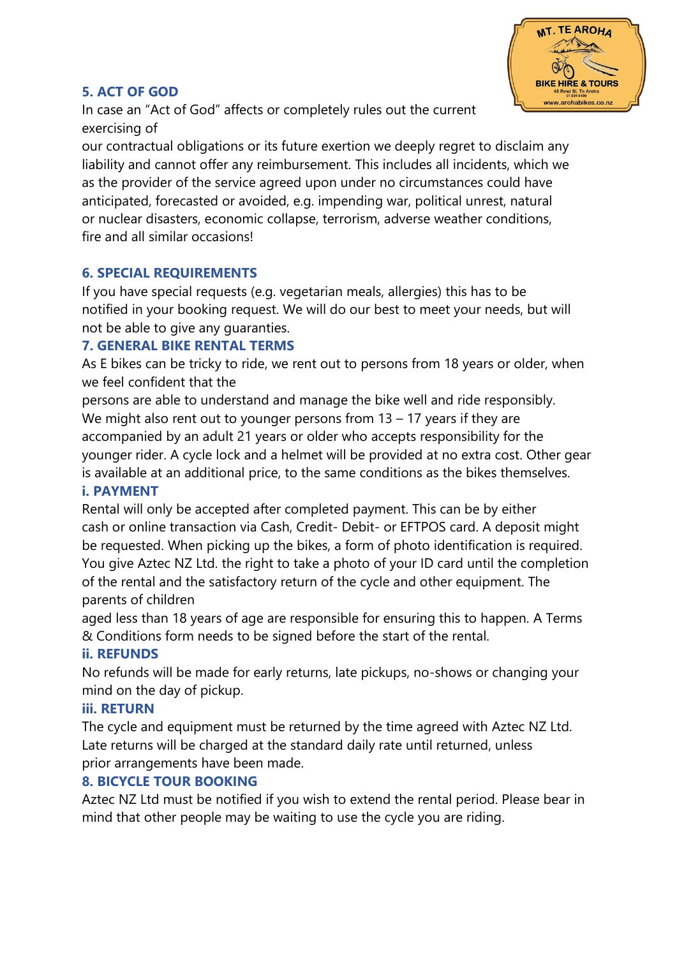

### **5. ACT OF GOD**

In case an "Act of God" affects or completely rules out the current exercising of

our contractual obligations or its future exertion we deeply regret to disclaim any liability and cannot offer any reimbursement. This includes all incidents, which we as the provider of the service agreed upon under no circumstances could have anticipated, forecasted or avoided, e.g. impending war, political unrest, natural or nuclear disasters, economic collapse, terrorism, adverse weather conditions, fire and all similar occasions!

#### **6. SPECIAL REQUIREMENTS**

If you have special requests (e.g. vegetarian meals, allergies) this has to be notified in your booking request. We will do our best to meet your needs, but will not be able to give any guaranties.

#### **7. GENERAL BIKE RENTAL TERMS**

As E bikes can be tricky to ride, we rent out to persons from 18 years or older, when we feel confident that the

persons are able to understand and manage the bike well and ride responsibly. We might also rent out to younger persons from 13 – 17 years if they are accompanied by an adult 21 years or older who accepts responsibility for the younger rider. A cycle lock and a helmet will be provided at no extra cost. Other gear is available at an additional price, to the same conditions as the bikes themselves.

#### **i. PAYMENT**

Rental will only be accepted after completed payment. This can be by either cash or online transaction via Cash, Credit- Debit- or EFTPOS card. A deposit might be requested. When picking up the bikes, a form of photo identification is required. You give Aztec NZ Ltd. the right to take a photo of your ID card until the completion of the rental and the satisfactory return of the cycle and other equipment. The parents of children

aged less than 18 years of age are responsible for ensuring this to happen. A Terms & Conditions form needs to be signed before the start of the rental.

# **ii. REFUNDS**

No refunds will be made for early returns, late pickups, no-shows or changing your mind on the day of pickup.

#### **iii. RETURN**

The cycle and equipment must be returned by the time agreed with Aztec NZ Ltd. Late returns will be charged at the standard daily rate until returned, unless prior arrangements have been made.

# **8. BICYCLE TOUR BOOKING**

Aztec NZ Ltd must be notified if you wish to extend the rental period. Please bear in mind that other people may be waiting to use the cycle you are riding.